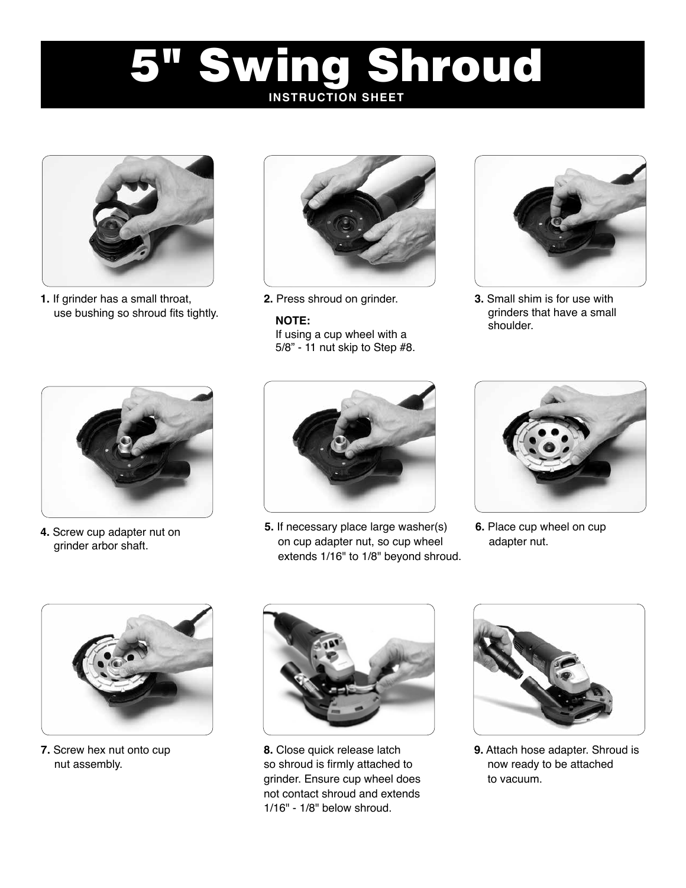## Swing Shroud **INSTRUCTION SHEET**



**1.** If grinder has a small throat, use bushing so shroud fits tightly.



## **NOTE:**

If using a cup wheel with a 5/8" - 11 nut skip to Step #8.



**2.** Press shroud on grinder. **3.** Small shim is for use with grinders that have a small shoulder.



**4.** Screw cup adapter nut on grinder arbor shaft.



**5.** If necessary place large washer(s) on cup adapter nut, so cup wheel extends 1/16" to 1/8" beyond shroud.



**6.** Place cup wheel on cup adapter nut.



**7.** Screw hex nut onto cup nut assembly.



**8.** Close quick release latch so shroud is firmly attached to grinder. Ensure cup wheel does not contact shroud and extends 1/16" - 1/8" below shroud.



**9.** Attach hose adapter. Shroud is now ready to be attached to vacuum.